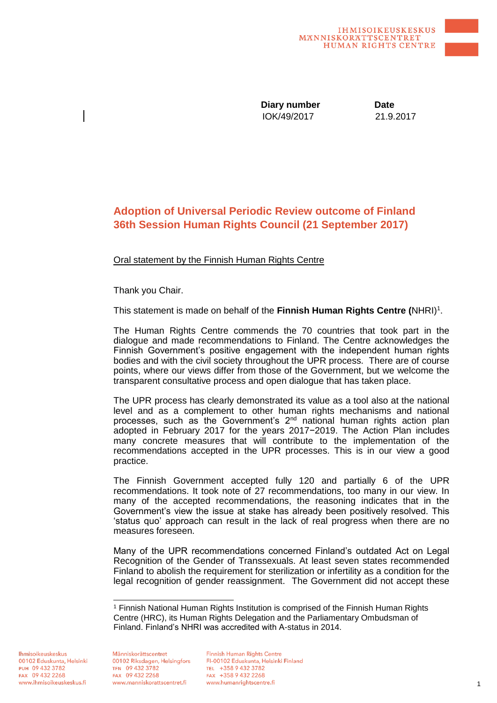IOK/49/2017 21.9.2017 **Diary number** Date

## **Adoption of Universal Periodic Review outcome of Finland 36th Session Human Rights Council (21 September 2017)**

Oral statement by the Finnish Human Rights Centre

Thank you Chair.

This statement is made on behalf of the Finnish Human Rights Centre (NHRI)<sup>1</sup>.

The Human Rights Centre commends the 70 countries that took part in the dialogue and made recommendations to Finland. The Centre acknowledges the Finnish Government's positive engagement with the independent human rights bodies and with the civil society throughout the UPR process. There are of course points, where our views differ from those of the Government, but we welcome the transparent consultative process and open dialogue that has taken place.

The UPR process has clearly demonstrated its value as a tool also at the national level and as a complement to other human rights mechanisms and national processes, such as the Government's 2nd national human rights action plan adopted in February 2017 for the years 2017−2019. The Action Plan includes many concrete measures that will contribute to the implementation of the recommendations accepted in the UPR processes. This is in our view a good practice.

The Finnish Government accepted fully 120 and partially 6 of the UPR recommendations. It took note of 27 recommendations, too many in our view. In many of the accepted recommendations, the reasoning indicates that in the Government's view the issue at stake has already been positively resolved. This 'status quo' approach can result in the lack of real progress when there are no measures foreseen.

Many of the UPR recommendations concerned Finland's outdated Act on Legal Recognition of the Gender of Transsexuals. At least seven states recommended Finland to abolish the requirement for sterilization or infertility as a condition for the legal recognition of gender reassignment. The Government did not accept these

**Ihmisoikeuskeskus** 00102 Eduskunta, Helsinki PUH 09 432 3782 FAX 09 432 2268 www.ihmisoikeuskeskus.fi

Människorättscentret 00102 Riksdagen, Helsingfors TFN 09 432 3782 FAX 09 432 2268 www.manniskorattscentret.fi

 $\overline{a}$ 

**Finnish Human Rights Centre** FI-00102 Eduskunta, Helsinki Finland TEL +358 9 432 3782 FAX +358 9 432 2268 www.humanrightscentre.fi

<sup>1</sup> Finnish National Human Rights Institution is comprised of the Finnish Human Rights Centre (HRC), its Human Rights Delegation and the Parliamentary Ombudsman of Finland. Finland's NHRI was accredited with A-status in 2014.